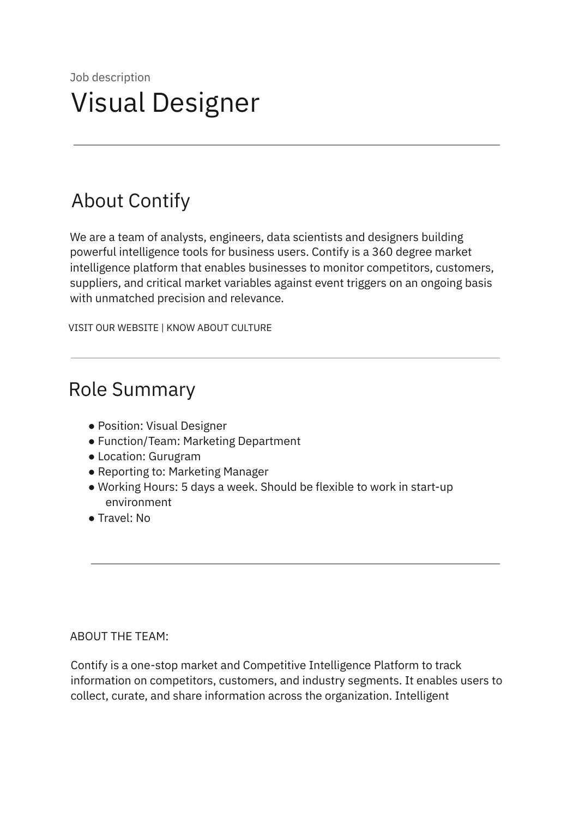# About Contify

We are a team of analysts, engineers, data scientists and designers building powerful intelligence tools for business users. Contify is a 360 degree market intelligence platform that enables businesses to monitor competitors, customers, suppliers, and critical market variables against event triggers on an ongoing basis with unmatched precision and relevance.

VISIT OUR WEBSITE | KNOW ABOUT CULTURE

# Role Summary

- Position: Visual Designer
- Function/Team: Marketing Department
- Location: Gurugram
- Reporting to: Marketing Manager
- Working Hours: 5 days a week. Should be flexible to work in start-up environment
- Travel: No

### ABOUT THE TEAM:

Contify is a one-stop market and Competitive Intelligence Platform to track information on competitors, customers, and industry segments. It enables users to collect, curate, and share information across the organization. Intelligent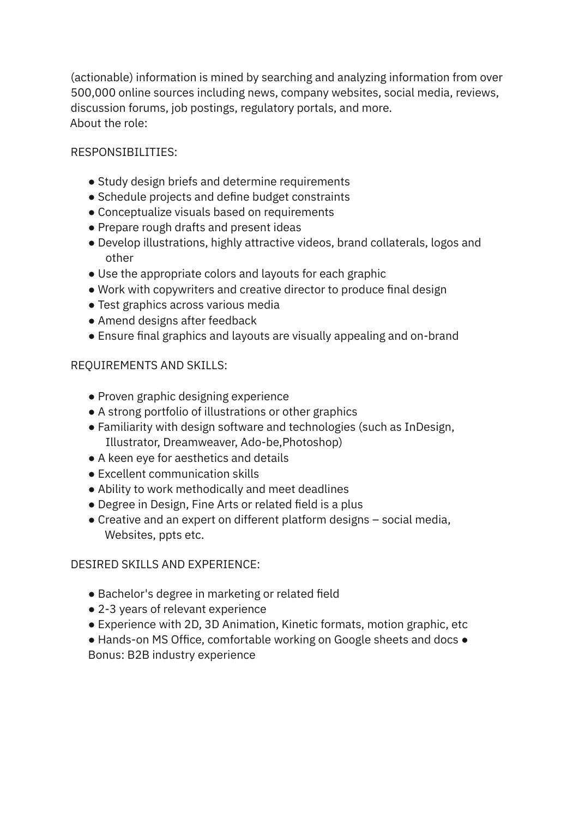(actionable) information is mined by searching and analyzing information from over 500,000 online sources including news, company websites, social media, reviews, discussion forums, job postings, regulatory portals, and more. About the role:

# RESPONSIBILITIES:

- Study design briefs and determine requirements
- Schedule projects and define budget constraints
- Conceptualize visuals based on requirements
- Prepare rough drafts and present ideas
- Develop illustrations, highly attractive videos, brand collaterals, logos and other
- Use the appropriate colors and layouts for each graphic
- Work with copywriters and creative director to produce final design
- Test graphics across various media
- Amend designs after feedback
- Ensure final graphics and layouts are visually appealing and on-brand

# REQUIREMENTS AND SKILLS:

- Proven graphic designing experience
- A strong portfolio of illustrations or other graphics
- Familiarity with design software and technologies (such as InDesign, Illustrator, Dreamweaver, Ado-be,Photoshop)
- A keen eye for aesthetics and details
- Excellent communication skills
- Ability to work methodically and meet deadlines
- Degree in Design, Fine Arts or related field is a plus
- Creative and an expert on different platform designs social media, Websites, ppts etc.

### DESIRED SKILLS AND EXPERIENCE:

- Bachelor's degree in marketing or related field
- 2-3 years of relevant experience
- Experience with 2D, 3D Animation, Kinetic formats, motion graphic, etc
- Hands-on MS Office, comfortable working on Google sheets and docs Bonus: B2B industry experience